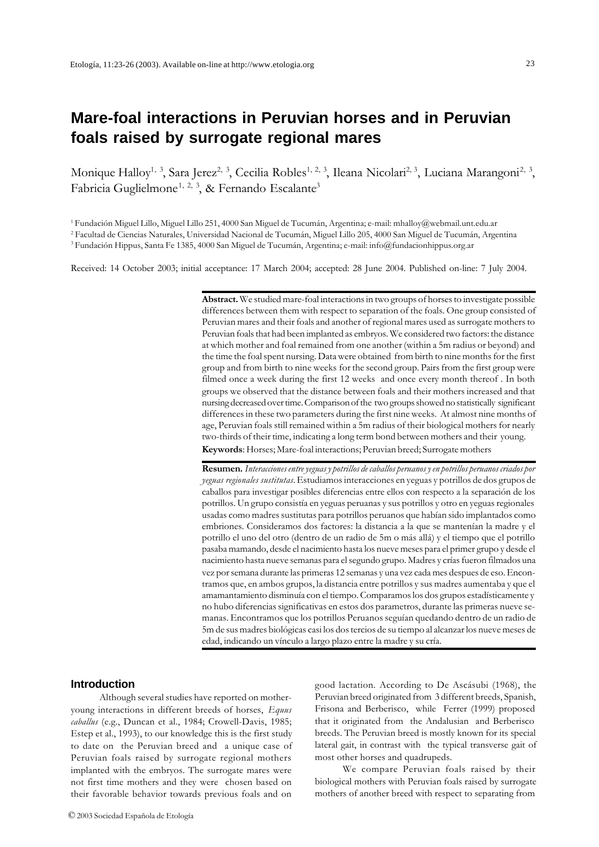# **Mare-foal interactions in Peruvian horses and in Peruvian foals raised by surrogate regional mares**

Monique Halloy<sup>1, 3</sup>, Sara Jerez<sup>2, 3</sup>, Cecilia Robles<sup>1, 2, 3</sup>, Ileana Nicolari<sup>2, 3</sup>, Luciana Marangoni<sup>2, 3</sup>, Fabricia Guglielmone<sup>1, 2, 3</sup>, & Fernando Escalante<sup>3</sup>

1 Fundación Miguel Lillo, Miguel Lillo 251, 4000 San Miguel de Tucumán, Argentina; e-mail: mhalloy@webmail.unt.edu.ar

2 Facultad de Ciencias Naturales, Universidad Nacional de Tucumán, Miguel Lillo 205, 4000 San Miguel de Tucumán, Argentina 3 Fundación Hippus, Santa Fe 1385, 4000 San Miguel de Tucumán, Argentina; e-mail: info@fundacionhippus.org.ar

Received: 14 October 2003; initial acceptance: 17 March 2004; accepted: 28 June 2004. Published on-line: 7 July 2004.

**Abstract.** We studied mare-foal interactions in two groups of horses to investigate possible differences between them with respect to separation of the foals. One group consisted of Peruvian mares and their foals and another of regional mares used as surrogate mothers to Peruvian foals that had been implanted as embryos. We considered two factors: the distance at which mother and foal remained from one another (within a 5m radius or beyond) and the time the foal spent nursing. Data were obtained from birth to nine months for the first group and from birth to nine weeks for the second group. Pairs from the first group were filmed once a week during the first 12 weeks and once every month thereof . In both groups we observed that the distance between foals and their mothers increased and that nursing decreased over time. Comparison of the two groups showed no statistically significant differences in these two parameters during the first nine weeks. At almost nine months of age, Peruvian foals still remained within a 5m radius of their biological mothers for nearly two-thirds of their time, indicating a long term bond between mothers and their young. **Keywords**: Horses; Mare-foal interactions; Peruvian breed; Surrogate mothers

**Resumen.** *Interacciones entre yeguas y potrillos de caballos peruanos y en potrillos peruanos criados por yeguas regionales sustitutas.* Estudiamos interacciones en yeguas y potrillos de dos grupos de caballos para investigar posibles diferencias entre ellos con respecto a la separación de los potrillos. Un grupo consistía en yeguas peruanas y sus potrillos y otro en yeguas regionales usadas como madres sustitutas para potrillos peruanos que habían sido implantados como embriones. Consideramos dos factores: la distancia a la que se mantenían la madre y el potrillo el uno del otro (dentro de un radio de 5m o más allá) y el tiempo que el potrillo pasaba mamando, desde el nacimiento hasta los nueve meses para el primer grupo y desde el nacimiento hasta nueve semanas para el segundo grupo. Madres y crías fueron filmados una vez por semana durante las primeras 12 semanas y una vez cada mes despues de eso. Encontramos que, en ambos grupos, la distancia entre potrillos y sus madres aumentaba y que el amamantamiento disminuía con el tiempo. Comparamos los dos grupos estadísticamente y no hubo diferencias significativas en estos dos parametros, durante las primeras nueve semanas. Encontramos que los potrillos Peruanos seguían quedando dentro de un radio de 5m de sus madres biológicas casi los dos tercios de su tiempo al alcanzar los nueve meses de edad, indicando un vínculo a largo plazo entre la madre y su cría.

# **Introduction**

Although several studies have reported on motheryoung interactions in different breeds of horses, *Equus caballus* (e.g., Duncan et al., 1984; Crowell-Davis, 1985; Estep et al., 1993), to our knowledge this is the first study to date on the Peruvian breed and a unique case of Peruvian foals raised by surrogate regional mothers implanted with the embryos. The surrogate mares were not first time mothers and they were chosen based on their favorable behavior towards previous foals and on

good lactation. According to De Ascásubi (1968), the Peruvian breed originated from 3 different breeds, Spanish, Frisona and Berberisco, while Ferrer (1999) proposed that it originated from the Andalusian and Berberisco breeds. The Peruvian breed is mostly known for its special lateral gait, in contrast with the typical transverse gait of most other horses and quadrupeds.

We compare Peruvian foals raised by their biological mothers with Peruvian foals raised by surrogate mothers of another breed with respect to separating from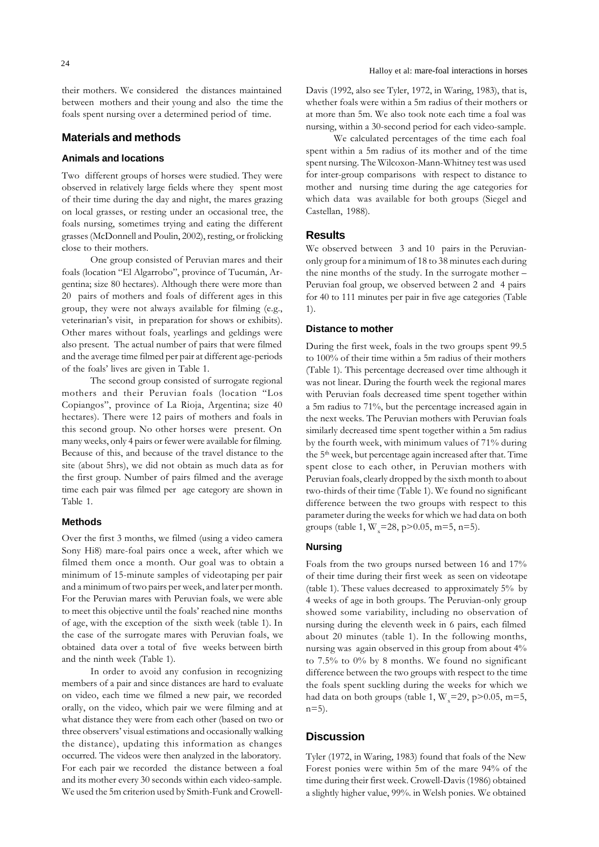their mothers. We considered the distances maintained between mothers and their young and also the time the foals spent nursing over a determined period of time.

# **Materials and methods**

# **Animals and locations**

Two different groups of horses were studied. They were observed in relatively large fields where they spent most of their time during the day and night, the mares grazing on local grasses, or resting under an occasional tree, the foals nursing, sometimes trying and eating the different grasses (McDonnell and Poulin, 2002), resting, or frolicking close to their mothers.

One group consisted of Peruvian mares and their foals (location "El Algarrobo", province of Tucumán, Argentina; size 80 hectares). Although there were more than 20 pairs of mothers and foals of different ages in this group, they were not always available for filming (e.g., veterinarian's visit, in preparation for shows or exhibits). Other mares without foals, yearlings and geldings were also present. The actual number of pairs that were filmed and the average time filmed per pair at different age-periods of the foals' lives are given in Table 1.

The second group consisted of surrogate regional mothers and their Peruvian foals (location "Los Copiangos", province of La Rioja, Argentina; size 40 hectares). There were 12 pairs of mothers and foals in this second group. No other horses were present. On many weeks, only 4 pairs or fewer were available for filming. Because of this, and because of the travel distance to the site (about 5hrs), we did not obtain as much data as for the first group. Number of pairs filmed and the average time each pair was filmed per age category are shown in Table 1.

# **Methods**

Over the first 3 months, we filmed (using a video camera Sony Hi8) mare-foal pairs once a week, after which we filmed them once a month. Our goal was to obtain a minimum of 15-minute samples of videotaping per pair and a minimum of two pairs per week, and later per month. For the Peruvian mares with Peruvian foals, we were able to meet this objective until the foals' reached nine months of age, with the exception of the sixth week (table 1). In the case of the surrogate mares with Peruvian foals, we obtained data over a total of five weeks between birth and the ninth week (Table 1).

In order to avoid any confusion in recognizing members of a pair and since distances are hard to evaluate on video, each time we filmed a new pair, we recorded orally, on the video, which pair we were filming and at what distance they were from each other (based on two or three observers' visual estimations and occasionally walking the distance), updating this information as changes occurred. The videos were then analyzed in the laboratory. For each pair we recorded the distance between a foal and its mother every 30 seconds within each video-sample. We used the 5m criterion used by Smith-Funk and CrowellDavis (1992, also see Tyler, 1972, in Waring, 1983), that is, whether foals were within a 5m radius of their mothers or at more than 5m. We also took note each time a foal was nursing, within a 30-second period for each video-sample.

We calculated percentages of the time each foal spent within a 5m radius of its mother and of the time spent nursing. The Wilcoxon-Mann-Whitney test was used for inter-group comparisons with respect to distance to mother and nursing time during the age categories for which data was available for both groups (Siegel and Castellan, 1988).

#### **Results**

We observed between 3 and 10 pairs in the Peruvianonly group for a minimum of 18 to 38 minutes each during the nine months of the study. In the surrogate mother – Peruvian foal group, we observed between 2 and 4 pairs for 40 to 111 minutes per pair in five age categories (Table 1).

#### **Distance to mother**

During the first week, foals in the two groups spent 99.5 to 100% of their time within a 5m radius of their mothers (Table 1). This percentage decreased over time although it was not linear. During the fourth week the regional mares with Peruvian foals decreased time spent together within a 5m radius to 71%, but the percentage increased again in the next weeks. The Peruvian mothers with Peruvian foals similarly decreased time spent together within a 5m radius by the fourth week, with minimum values of 71% during the 5<sup>th</sup> week, but percentage again increased after that. Time spent close to each other, in Peruvian mothers with Peruvian foals, clearly dropped by the sixth month to about two-thirds of their time (Table 1). We found no significant difference between the two groups with respect to this parameter during the weeks for which we had data on both groups (table 1,  $W = 28$ , p $> 0.05$ , m=5, n=5).

# **Nursing**

Foals from the two groups nursed between 16 and 17% of their time during their first week as seen on videotape (table 1). These values decreased to approximately 5% by 4 weeks of age in both groups. The Peruvian-only group showed some variability, including no observation of nursing during the eleventh week in 6 pairs, each filmed about 20 minutes (table 1). In the following months, nursing was again observed in this group from about 4% to 7.5% to 0% by 8 months. We found no significant difference between the two groups with respect to the time the foals spent suckling during the weeks for which we had data on both groups (table 1,  $W = 29$ , p $> 0.05$ , m=5,  $n=5$ ).

#### **Discussion**

Tyler (1972, in Waring, 1983) found that foals of the New Forest ponies were within 5m of the mare 94% of the time during their first week. Crowell-Davis (1986) obtained a slightly higher value, 99%. in Welsh ponies. We obtained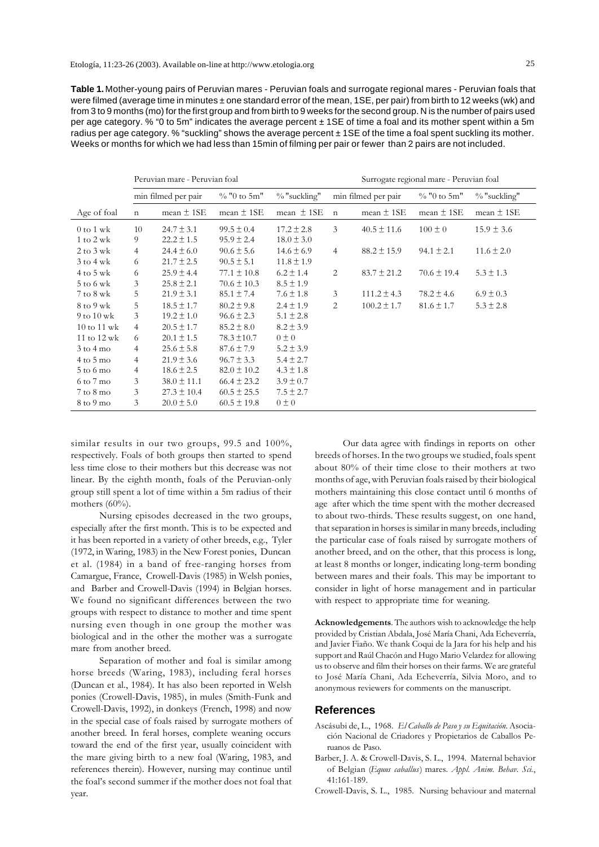**Table 1.** Mother-young pairs of Peruvian mares - Peruvian foals and surrogate regional mares - Peruvian foals that were filmed (average time in minutes ± one standard error of the mean, 1SE, per pair) from birth to 12 weeks (wk) and from 3 to 9 months (mo) for the first group and from birth to 9 weeks for the second group. N is the number of pairs used per age category. % "0 to 5m" indicates the average percent ± 1SE of time a foal and its mother spent within a 5m radius per age category. % "suckling" shows the average percent ± 1SE of the time a foal spent suckling its mother. Weeks or months for which we had less than 15min of filming per pair or fewer than 2 pairs are not included.

|                                | Peruvian mare - Peruvian foal |                 |                 |                 | Surrogate regional mare - Peruvian foal |                 |                 |                |
|--------------------------------|-------------------------------|-----------------|-----------------|-----------------|-----------------------------------------|-----------------|-----------------|----------------|
|                                | min filmed per pair           |                 | $\%$ "0 to 5m"  | $\%$ "suckling" | min filmed per pair                     |                 | $\%$ "0 to 5m"  | % "suckling"   |
| Age of foal                    | $\mathbf n$                   | mean $\pm$ 1SE  | mean $\pm$ 1SE  | mean $\pm$ 1SE  | $\mathbf n$                             | mean $\pm$ 1SE  | mean $\pm$ 1SE  | mean $\pm$ 1SE |
| $0$ to $1$ wk                  | 10                            | $24.7 \pm 3.1$  | $99.5 \pm 0.4$  | $17.2 \pm 2.8$  | 3                                       | $40.5 \pm 11.6$ | $100 \pm 0$     | $15.9 \pm 3.6$ |
| $1 \text{ to } 2 \text{ wk}$   | 9                             | $22.2 \pm 1.5$  | $95.9 \pm 2.4$  | $18.0 \pm 3.0$  |                                         |                 |                 |                |
| $2$ to $3$ wk                  | 4                             | $24.4 \pm 6.0$  | $90.6 \pm 5.6$  | $14.6 \pm 6.9$  | $\overline{4}$                          | $88.2 \pm 15.9$ | $94.1 \pm 2.1$  | $11.6 \pm 2.0$ |
| $3$ to $4$ wk                  | 6                             | $21.7 \pm 2.5$  | $90.5 \pm 5.1$  | $11.8 \pm 1.9$  |                                         |                 |                 |                |
| $4$ to $5$ wk                  | 6                             | $25.9 \pm 4.4$  | $77.1 \pm 10.8$ | $6.2 \pm 1.4$   | 2                                       | $83.7 \pm 21.2$ | $70.6 \pm 19.4$ | $5.3 \pm 1.3$  |
| $5$ to 6 wk                    | 3                             | $25.8 \pm 2.1$  | $70.6 \pm 10.3$ | $8.5 \pm 1.9$   |                                         |                 |                 |                |
| $7$ to $8$ wk                  | 5                             | $21.9 \pm 3.1$  | $85.1 \pm 7.4$  | $7.6 \pm 1.8$   | 3                                       | $111.2 \pm 4.3$ | $78.2 \pm 4.6$  | $6.9 \pm 0.3$  |
| 8 to 9 wk                      | 5                             | $18.5 \pm 1.7$  | $80.2 \pm 9.8$  | $2.4 \pm 1.9$   | 2                                       | $100.2 \pm 1.7$ | $81.6 \pm 1.7$  | $5.3 \pm 2.8$  |
| 9 to $10 \text{ wk}$           | 3                             | $19.2 \pm 1.0$  | $96.6 \pm 2.3$  | $5.1 \pm 2.8$   |                                         |                 |                 |                |
| $10 \text{ to } 11 \text{ wk}$ | 4                             | $20.5 \pm 1.7$  | $85.2 \pm 8.0$  | $8.2 \pm 3.9$   |                                         |                 |                 |                |
| 11 to 12 wk                    | 6                             | $20.1 \pm 1.5$  | $78.3 \pm 10.7$ | $0 \pm 0$       |                                         |                 |                 |                |
| $3$ to $4$ mo                  | 4                             | $25.6 \pm 5.8$  | $87.6 \pm 7.9$  | $5.2 \pm 3.9$   |                                         |                 |                 |                |
| $4$ to $5$ mo                  | 4                             | $21.9 \pm 3.6$  | $96.7 \pm 3.3$  | $5.4 \pm 2.7$   |                                         |                 |                 |                |
| $5$ to 6 mo                    | $\overline{4}$                | $18.6 \pm 2.5$  | $82.0 \pm 10.2$ | $4.3 \pm 1.8$   |                                         |                 |                 |                |
| 6 to 7 mo                      | 3                             | $38.0 \pm 11.1$ | $66.4 \pm 23.2$ | $3.9 \pm 0.7$   |                                         |                 |                 |                |
| $7$ to $8$ mo                  | 3                             | $27.3 \pm 10.4$ | $60.5 \pm 25.5$ | $7.5 \pm 2.7$   |                                         |                 |                 |                |
| 8 to 9 mo                      | 3                             | $20.0 \pm 5.0$  | $60.5 \pm 19.8$ | $0 \pm 0$       |                                         |                 |                 |                |

similar results in our two groups, 99.5 and 100%, respectively. Foals of both groups then started to spend less time close to their mothers but this decrease was not linear. By the eighth month, foals of the Peruvian-only group still spent a lot of time within a 5m radius of their mothers (60%).

Nursing episodes decreased in the two groups, especially after the first month. This is to be expected and it has been reported in a variety of other breeds, e.g., Tyler (1972, in Waring, 1983) in the New Forest ponies, Duncan et al. (1984) in a band of free-ranging horses from Camargue, France, Crowell-Davis (1985) in Welsh ponies, and Barber and Crowell-Davis (1994) in Belgian horses. We found no significant differences between the two groups with respect to distance to mother and time spent nursing even though in one group the mother was biological and in the other the mother was a surrogate mare from another breed.

Separation of mother and foal is similar among horse breeds (Waring, 1983), including feral horses (Duncan et al., 1984). It has also been reported in Welsh ponies (Crowell-Davis, 1985), in mules (Smith-Funk and Crowell-Davis, 1992), in donkeys (French, 1998) and now in the special case of foals raised by surrogate mothers of another breed. In feral horses, complete weaning occurs toward the end of the first year, usually coincident with the mare giving birth to a new foal (Waring, 1983, and references therein). However, nursing may continue until the foal's second summer if the mother does not foal that year.

Our data agree with findings in reports on other breeds of horses. In the two groups we studied, foals spent about 80% of their time close to their mothers at two months of age, with Peruvian foals raised by their biological mothers maintaining this close contact until 6 months of age after which the time spent with the mother decreased to about two-thirds. These results suggest, on one hand, that separation in horses is similar in many breeds, including the particular case of foals raised by surrogate mothers of another breed, and on the other, that this process is long, at least 8 months or longer, indicating long-term bonding between mares and their foals. This may be important to consider in light of horse management and in particular with respect to appropriate time for weaning.

**Acknowledgements**. The authors wish to acknowledge the help provided by Cristian Abdala, José María Chani, Ada Echeverría, and Javier Fiaño. We thank Coqui de la Jara for his help and his support and Raúl Chacón and Hugo Mario Velardez for allowing us to observe and film their horses on their farms. We are grateful to José María Chani, Ada Echeverría, Silvia Moro, and to anonymous reviewers for comments on the manuscript.

# **References**

- Ascásubi de, L., 1968. *El Caballo de Paso y su Equitación.* Asociación Nacional de Criadores y Propietarios de Caballos Peruanos de Paso.
- Barber, J. A. & Crowell-Davis, S. L., 1994. Maternal behavior of Belgian (*Equus caballus*) mares. *Appl. Anim. Behav. Sci.*, 41:161-189.
- Crowell-Davis, S. L., 1985. Nursing behaviour and maternal